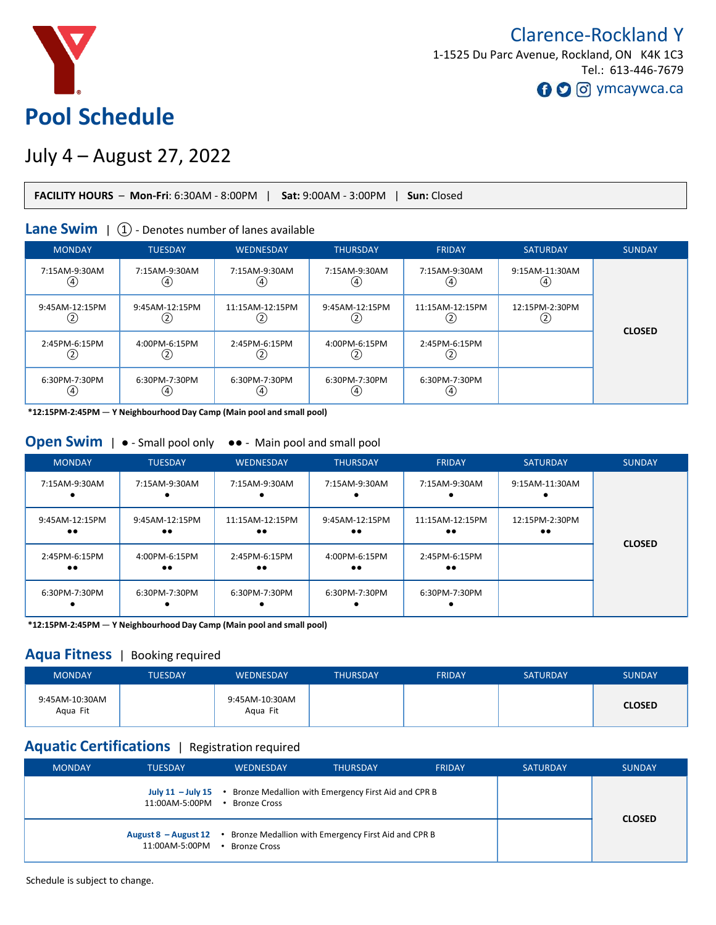

# Clarence-Rockland Y 1-1525 Du Parc Avenue, Rockland, ON K4K 1C3 Tel.: 613-446-7679 **O** O ymcaywca.ca

# July 4 – August 27, 2022

| <b>FACILITY HOURS</b> - Mon-Fri: 6:30AM - 8:00PM   Sat: 9:00AM - 3:00PM   Sun: Closed |  |
|---------------------------------------------------------------------------------------|--|
|---------------------------------------------------------------------------------------|--|

#### **Lane Swim** |  $(1)$  - Denotes number of lanes available

| <b>MONDAY</b>              | <b>TUESDAY</b>                | <b>WEDNESDAY</b>     | <b>THURSDAY</b>       | <b>FRIDAY</b>                 | <b>SATURDAY</b>       | <b>SUNDAY</b> |
|----------------------------|-------------------------------|----------------------|-----------------------|-------------------------------|-----------------------|---------------|
| 7:15AM-9:30AM<br>(4)       | 7:15AM-9:30AM<br>(4)          | 7:15AM-9:30AM<br>(4, | 7:15AM-9:30AM<br>(4)  | 7:15AM-9:30AM<br>(4)          | 9:15AM-11:30AM<br>(4, |               |
| 9:45AM-12:15PM<br>$^{(2)}$ | 9:45AM-12:15PM<br>2)          | 11:15AM-12:15PM      | 9:45AM-12:15PM<br>(2) | 11:15AM-12:15PM<br>2          | 12:15PM-2:30PM        |               |
| 2:45PM-6:15PM<br>(2)       | 4:00PM-6:15PM<br>$_{\rm (2)}$ | 2:45PM-6:15PM        | 4:00PM-6:15PM<br>(2)  | 2:45PM-6:15PM<br>$_{\rm (2)}$ |                       | <b>CLOSED</b> |
| 6:30PM-7:30PM<br>(4)       | 6:30PM-7:30PM<br>(4)          | 6:30PM-7:30PM        | 6:30PM-7:30PM<br>(4)  | 6:30PM-7:30PM<br>(4)          |                       |               |

**\*12:15PM-2:45PM** — **Y Neighbourhood Day Camp (Main pool and small pool)**

#### **Open Swim** |  $\bullet$  - Small pool only  $\bullet\bullet$  - Main pool and small pool

| <b>MONDAY</b>                      | <b>TUESDAY</b>                     | <b>WEDNESDAY</b>                    | <b>THURSDAY</b>                    | <b>FRIDAY</b>                       | <b>SATURDAY</b>                    | <b>SUNDAY</b> |
|------------------------------------|------------------------------------|-------------------------------------|------------------------------------|-------------------------------------|------------------------------------|---------------|
| 7:15AM-9:30AM                      | 7:15AM-9:30AM                      | 7:15AM-9:30AM                       | 7:15AM-9:30AM                      | 7:15AM-9:30AM                       | 9:15AM-11:30AM                     |               |
| 9:45AM-12:15PM<br>$\bullet\bullet$ | 9:45AM-12:15PM<br>$\bullet\bullet$ | 11:15AM-12:15PM<br>$\bullet\bullet$ | 9:45AM-12:15PM<br>$\bullet\bullet$ | 11:15AM-12:15PM<br>$\bullet\bullet$ | 12:15PM-2:30PM<br>$\bullet\bullet$ |               |
| 2:45PM-6:15PM<br>$\bullet\bullet$  | 4:00PM-6:15PM<br>$\bullet\bullet$  | 2:45PM-6:15PM<br>$\bullet\bullet$   | 4:00PM-6:15PM<br>$\bullet\bullet$  | 2:45PM-6:15PM<br>$\bullet\bullet$   |                                    | <b>CLOSED</b> |
| 6:30PM-7:30PM                      | 6:30PM-7:30PM                      | 6:30PM-7:30PM                       | 6:30PM-7:30PM                      | 6:30PM-7:30PM                       |                                    |               |

**\*12:15PM-2:45PM** — **Y Neighbourhood Day Camp (Main pool and small pool)**

#### **Aqua Fitness** | Booking required

| <b>MONDAY</b>              | TUESDAY | <b>WEDNESDAY</b>           | <b>THURSDAY</b> | <b>FRIDAY</b> | <b>SATURDAY</b> | <b>SUNDAY</b> |
|----------------------------|---------|----------------------------|-----------------|---------------|-----------------|---------------|
| 9:45AM-10:30AM<br>Agua Fit |         | 9:45AM-10:30AM<br>Agua Fit |                 |               |                 | <b>CLOSED</b> |

## **Aquatic Certifications** | Registration required

| <b>MONDAY</b>                                                                                                  | <b>TUESDAY</b> | <b>WEDNESDAY</b> | <b>THURSDAY</b>                                                                 | <b>FRIDAY</b> | <b>SATURDAY</b> | <b>SUNDAY</b> |
|----------------------------------------------------------------------------------------------------------------|----------------|------------------|---------------------------------------------------------------------------------|---------------|-----------------|---------------|
|                                                                                                                | 11:00AM-5:00PM | • Bronze Cross   | July $11 -$ July $15 \cdot$ Bronze Medallion with Emergency First Aid and CPR B |               |                 |               |
| August 8 - August 12 • Bronze Medallion with Emergency First Aid and CPR B<br>11:00AM-5:00PM<br>• Bronze Cross |                |                  |                                                                                 |               |                 | <b>CLOSED</b> |